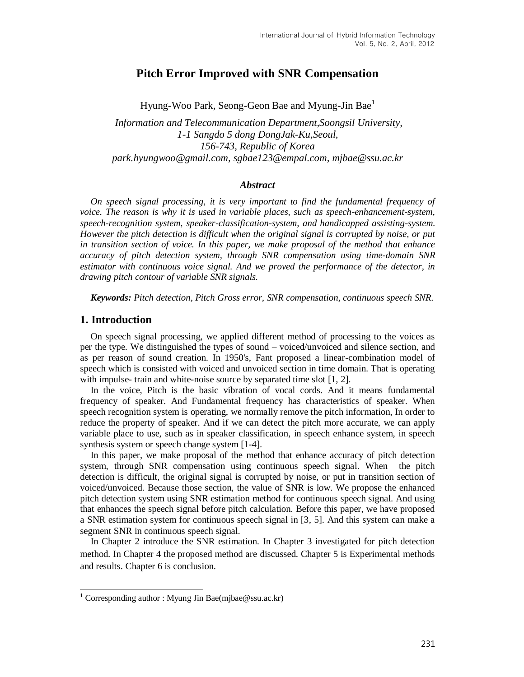# **Pitch Error Improved with SNR Compensation**

Hyung-Woo Park, Seong-Geon Bae and Myung-Jin Bae<sup>1</sup>

*Information and Telecommunication Department,Soongsil University, 1-1 Sangdo 5 dong DongJak-Ku,Seoul, 156-743, Republic of Korea park.hyungwoo@gmail.com, sgbae123@empal.com, mjbae@ssu.ac.kr* 

#### *Abstract*

*On speech signal processing, it is very important to find the fundamental frequency of voice. The reason is why it is used in variable places, such as speech-enhancement-system, speech-recognition system, speaker-classification-system, and handicapped assisting-system. However the pitch detection is difficult when the original signal is corrupted by noise, or put in transition section of voice. In this paper, we make proposal of the method that enhance accuracy of pitch detection system, through SNR compensation using time-domain SNR estimator with continuous voice signal. And we proved the performance of the detector, in drawing pitch contour of variable SNR signals.* 

*Keywords: Pitch detection, Pitch Gross error, SNR compensation, continuous speech SNR.*

#### **1. Introduction**

l

On speech signal processing, we applied different method of processing to the voices as per the type. We distinguished the types of sound – voiced/unvoiced and silence section, and as per reason of sound creation. In 1950's, Fant proposed a linear-combination model of speech which is consisted with voiced and unvoiced section in time domain. That is operating with impulse- train and white-noise source by separated time slot [1, 2].

In the voice, Pitch is the basic vibration of vocal cords. And it means fundamental frequency of speaker. And Fundamental frequency has characteristics of speaker. When speech recognition system is operating, we normally remove the pitch information, In order to reduce the property of speaker. And if we can detect the pitch more accurate, we can apply variable place to use, such as in speaker classification, in speech enhance system, in speech synthesis system or speech change system [1-4].

In this paper, we make proposal of the method that enhance accuracy of pitch detection system, through SNR compensation using continuous speech signal. When the pitch detection is difficult, the original signal is corrupted by noise, or put in transition section of voiced/unvoiced. Because those section, the value of SNR is low. We propose the enhanced pitch detection system using SNR estimation method for continuous speech signal. And using that enhances the speech signal before pitch calculation. Before this paper, we have proposed a SNR estimation system for continuous speech signal in [3, 5]. And this system can make a segment SNR in continuous speech signal.

In Chapter 2 introduce the SNR estimation. In Chapter 3 investigated for pitch detection method. In Chapter 4 the proposed method are discussed. Chapter 5 is Experimental methods and results. Chapter 6 is conclusion.

<sup>&</sup>lt;sup>1</sup> Corresponding author : Myung Jin Bae(mjbae@ssu.ac.kr)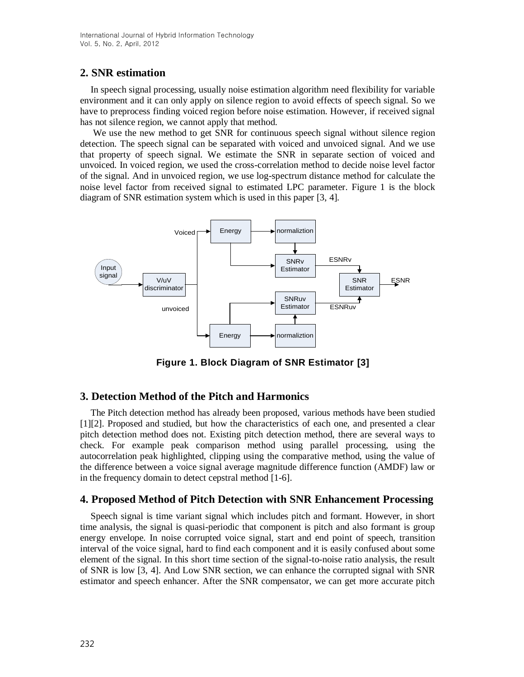# **2. SNR estimation**

In speech signal processing, usually noise estimation algorithm need flexibility for variable environment and it can only apply on silence region to avoid effects of speech signal. So we have to preprocess finding voiced region before noise estimation. However, if received signal has not silence region, we cannot apply that method.

We use the new method to get SNR for continuous speech signal without silence region detection. The speech signal can be separated with voiced and unvoiced signal. And we use that property of speech signal. We estimate the SNR in separate section of voiced and unvoiced. In voiced region, we used the cross-correlation method to decide noise level factor of the signal. And in unvoiced region, we use log-spectrum distance method for calculate the noise level factor from received signal to estimated LPC parameter. Figure 1 is the block diagram of SNR estimation system which is used in this paper [3, 4].



**Figure 1. Block Diagram of SNR Estimator [3]**

# **3. Detection Method of the Pitch and Harmonics**

The Pitch detection method has already been proposed, various methods have been studied [1][2]. Proposed and studied, but how the characteristics of each one, and presented a clear pitch detection method does not. Existing pitch detection method, there are several ways to check. For example peak comparison method using parallel processing, using the autocorrelation peak highlighted, clipping using the comparative method, using the value of the difference between a voice signal average magnitude difference function (AMDF) law or in the frequency domain to detect cepstral method [1-6].

## **4. Proposed Method of Pitch Detection with SNR Enhancement Processing**

Speech signal is time variant signal which includes pitch and formant. However, in short time analysis, the signal is quasi-periodic that component is pitch and also formant is group energy envelope. In noise corrupted voice signal, start and end point of speech, transition interval of the voice signal, hard to find each component and it is easily confused about some element of the signal. In this short time section of the signal-to-noise ratio analysis, the result of SNR is low [3, 4]. And Low SNR section, we can enhance the corrupted signal with SNR estimator and speech enhancer. After the SNR compensator, we can get more accurate pitch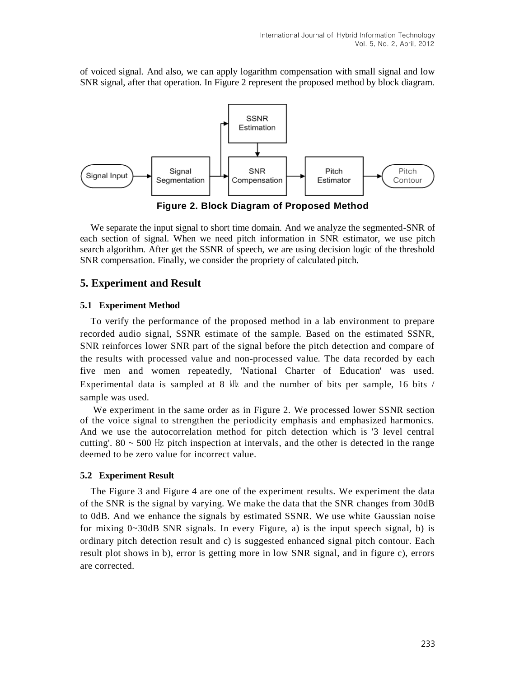of voiced signal. And also, we can apply logarithm compensation with small signal and low SNR signal, after that operation. In Figure 2 represent the proposed method by block diagram.



**Figure 2. Block Diagram of Proposed Method**

We separate the input signal to short time domain. And we analyze the segmented-SNR of each section of signal. When we need pitch information in SNR estimator, we use pitch search algorithm. After get the SSNR of speech, we are using decision logic of the threshold SNR compensation. Finally, we consider the propriety of calculated pitch.

## **5. Experiment and Result**

#### **5.1 Experiment Method**

To verify the performance of the proposed method in a lab environment to prepare recorded audio signal, SSNR estimate of the sample. Based on the estimated SSNR, SNR reinforces lower SNR part of the signal before the pitch detection and compare of the results with processed value and non-processed value. The data recorded by each five men and women repeatedly, 'National Charter of Education' was used. Experimental data is sampled at 8  $\frac{1}{k}$  and the number of bits per sample, 16 bits / sample was used.

We experiment in the same order as in Figure 2. We processed lower SSNR section of the voice signal to strengthen the periodicity emphasis and emphasized harmonics. And we use the autocorrelation method for pitch detection which is '3 level central cutting'.  $80 \sim 500$  Hz pitch inspection at intervals, and the other is detected in the range deemed to be zero value for incorrect value.

## **5.2 Experiment Result**

The Figure 3 and Figure 4 are one of the experiment results. We experiment the data of the SNR is the signal by varying. We make the data that the SNR changes from 30dB to 0dB. And we enhance the signals by estimated SSNR. We use white Gaussian noise for mixing  $0 \sim 30$  dB SNR signals. In every Figure, a) is the input speech signal, b) is ordinary pitch detection result and c) is suggested enhanced signal pitch contour. Each result plot shows in b), error is getting more in low SNR signal, and in figure c), errors are corrected.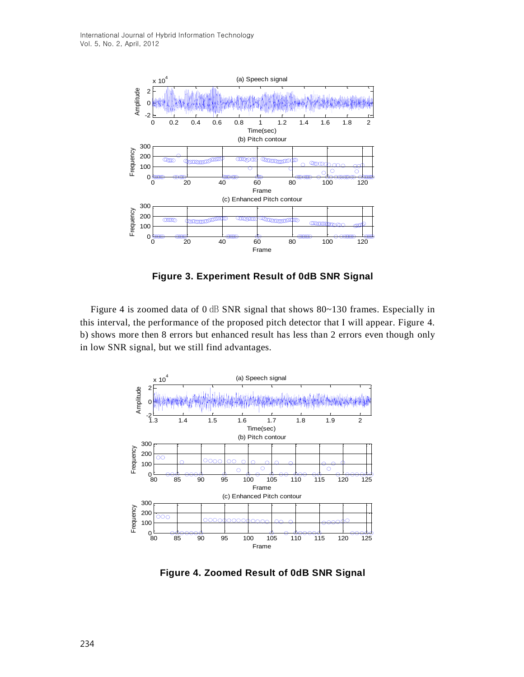

**Figure 3. Experiment Result of 0dB SNR Signal**

Figure 4 is zoomed data of 0 dB SNR signal that shows 80~130 frames. Especially in this interval, the performance of the proposed pitch detector that I will appear. Figure 4. b) shows more then 8 errors but enhanced result has less than 2 errors even though only in low SNR signal, but we still find advantages.



**Figure 4. Zoomed Result of 0dB SNR Signal**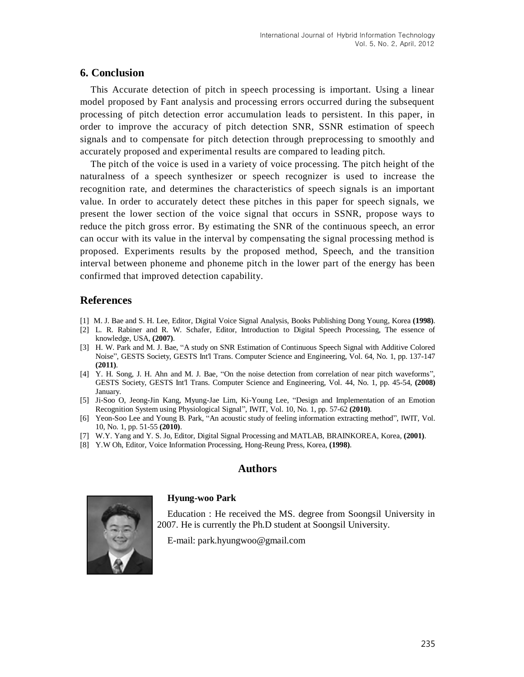## **6. Conclusion**

This Accurate detection of pitch in speech processing is important. Using a linear model proposed by Fant analysis and processing errors occurred during the subsequent processing of pitch detection error accumulation leads to persistent. In this paper, in order to improve the accuracy of pitch detection SNR, SSNR estimation of speech signals and to compensate for pitch detection through preprocessing to smoothly and accurately proposed and experimental results are compared to leading pitch.

The pitch of the voice is used in a variety of voice processing. The pitch height of the naturalness of a speech synthesizer or speech recognizer is used to increase the recognition rate, and determines the characteristics of speech signals is an important value. In order to accurately detect these pitches in this paper for speech signals, we present the lower section of the voice signal that occurs in SSNR, propose ways to reduce the pitch gross error. By estimating the SNR of the continuous speech, an error can occur with its value in the interval by compensating the signal processing method is proposed. Experiments results by the proposed method, Speech, and the transition interval between phoneme and phoneme pitch in the lower part of the energy has been confirmed that improved detection capability.

## **References**

- [1] M. J. Bae and S. H. Lee, Editor, Digital Voice Signal Analysis, Books Publishing Dong Young, Korea **(1998)**.
- [2] L. R. Rabiner and R. W. Schafer, Editor, Introduction to Digital Speech Processing, The essence of knowledge, USA, **(2007)**.
- [3] H. W. Park and M. J. Bae, "A study on SNR Estimation of Continuous Speech Signal with Additive Colored Noise", GESTS Society, GESTS Int'l Trans. Computer Science and Engineering, Vol. 64, No. 1, pp. 137-147 **(2011)**.
- [4] Y. H. Song, J. H. Ahn and M. J. Bae, "On the noise detection from correlation of near pitch waveforms", GESTS Society, GESTS Int'l Trans. Computer Science and Engineering, Vol. 44, No. 1, pp. 45-54, **(2008)** January.
- [5] Ji-Soo O, Jeong-Jin Kang, Myung-Jae Lim, Ki-Young Lee, "Design and Implementation of an Emotion Recognition System using Physiological Signal", IWIT, Vol. 10, No. 1, pp. 57-62 **(2010)**.
- [6] Yeon-Soo Lee and Young B. Park, "An acoustic study of feeling information extracting method", IWIT, Vol. 10, No. 1, pp. 51-55 **(2010)**.
- [7] W.Y. Yang and Y. S. Jo, Editor, Digital Signal Processing and MATLAB, BRAINKOREA, Korea, **(2001)**.
- [8] Y.W Oh, Editor, Voice Information Processing, Hong-Reung Press, Korea, **(1998)**.

# **Authors**



#### **Hyung-woo Park**

Education : He received the MS. degree from Soongsil University in 2007. He is currently the Ph.D student at Soongsil University.

E-mail: park.hyungwoo@gmail.com